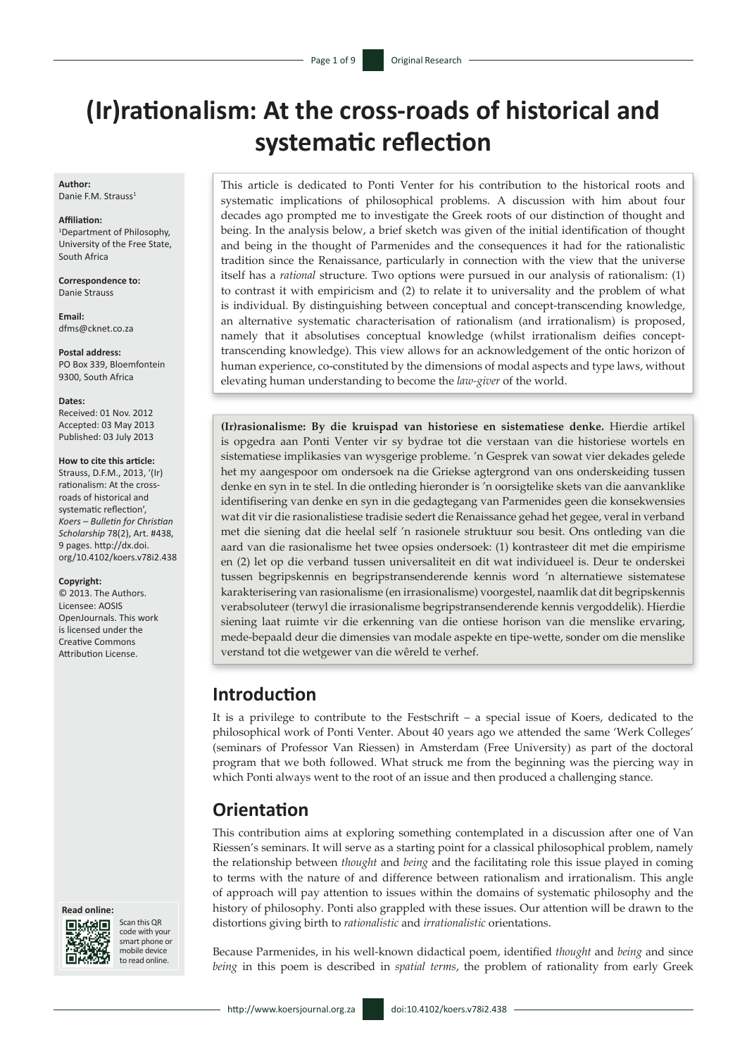# **(Ir)rationalism: At the cross-roads of historical and systematic reflection**

**Author:** Danie F.M. Strauss<sup>1</sup>

#### **Affiliation:**

1 Department of Philosophy, University of the Free State, South Africa

**Correspondence to:** Danie Strauss

**Email:** [dfms@cknet.co.za](mailto:dfms@cknet.co.za)

**Postal address:** PO Box 339, Bloemfontein 9300, South Africa

**Dates:**

Received: 01 Nov. 2012 Accepted: 03 May 2013 Published: 03 July 2013

#### **How to cite this article:**

Strauss, D.F.M., 2013, '(Ir) rationalism: At the crossroads of historical and systematic reflection', *Koers – Bulletin for Christian Scholarship* 78(2), Art. #438, 9 pages. [http://dx.doi.](http://dx.doi.org/10.4102/koers.v78i2.438) [org/10.4102/koers.v78i2.438](http://dx.doi.org/10.4102/koers.v78i2.438)

#### **Copyright:**

© 2013. The Authors. Licensee: AOSIS OpenJournals. This work is licensed under the Creative Commons Attribution License.



Scan this QR code with your smart phone or mobile device to read online.

This article is dedicated to Ponti Venter for his contribution to the historical roots and systematic implications of philosophical problems. A discussion with him about four decades ago prompted me to investigate the Greek roots of our distinction of thought and being. In the analysis below, a brief sketch was given of the initial identification of thought and being in the thought of Parmenides and the consequences it had for the rationalistic tradition since the Renaissance, particularly in connection with the view that the universe itself has a *rational* structure. Two options were pursued in our analysis of rationalism: (1) to contrast it with empiricism and (2) to relate it to universality and the problem of what is individual. By distinguishing between conceptual and concept-transcending knowledge, an alternative systematic characterisation of rationalism (and irrationalism) is proposed, namely that it absolutises conceptual knowledge (whilst irrationalism deifies concepttranscending knowledge). This view allows for an acknowledgement of the ontic horizon of human experience, co-constituted by the dimensions of modal aspects and type laws, without elevating human understanding to become the *law-giver* of the world.

**(Ir)rasionalisme: By die kruispad van historiese en sistematiese denke.** Hierdie artikel is opgedra aan Ponti Venter vir sy bydrae tot die verstaan van die historiese wortels en sistematiese implikasies van wysgerige probleme. 'n Gesprek van sowat vier dekades gelede het my aangespoor om ondersoek na die Griekse agtergrond van ons onderskeiding tussen denke en syn in te stel. In die ontleding hieronder is 'n oorsigtelike skets van die aanvanklike identifisering van denke en syn in die gedagtegang van Parmenides geen die konsekwensies wat dit vir die rasionalistiese tradisie sedert die Renaissance gehad het gegee, veral in verband met die siening dat die heelal self 'n rasionele struktuur sou besit. Ons ontleding van die aard van die rasionalisme het twee opsies ondersoek: (1) kontrasteer dit met die empirisme en (2) let op die verband tussen universaliteit en dit wat individueel is. Deur te onderskei tussen begripskennis en begripstransenderende kennis word 'n alternatiewe sistematese karakterisering van rasionalisme (en irrasionalisme) voorgestel, naamlik dat dit begripskennis verabsoluteer (terwyl die irrasionalisme begripstransenderende kennis vergoddelik). Hierdie siening laat ruimte vir die erkenning van die ontiese horison van die menslike ervaring, mede-bepaald deur die dimensies van modale aspekte en tipe-wette, sonder om die menslike verstand tot die wetgewer van die wêreld te verhef.

### **Introduction**

It is a privilege to contribute to the Festschrift – a special issue of Koers, dedicated to the philosophical work of Ponti Venter. About 40 years ago we attended the same 'Werk Colleges' (seminars of Professor Van Riessen) in Amsterdam (Free University) as part of the doctoral program that we both followed. What struck me from the beginning was the piercing way in which Ponti always went to the root of an issue and then produced a challenging stance.

## **Orientation**

This contribution aims at exploring something contemplated in a discussion after one of Van Riessen's seminars. It will serve as a starting point for a classical philosophical problem, namely the relationship between *thought* and *being* and the facilitating role this issue played in coming to terms with the nature of and difference between rationalism and irrationalism. This angle of approach will pay attention to issues within the domains of systematic philosophy and the history of philosophy. Ponti also grappled with these issues. Our attention will be drawn to the distortions giving birth to *rationalistic* and *irrationalistic* orientations.

Because Parmenides, in his well-known didactical poem, identified *thought* and *being* and since *being* in this poem is described in *spatial terms*, the problem of rationality from early Greek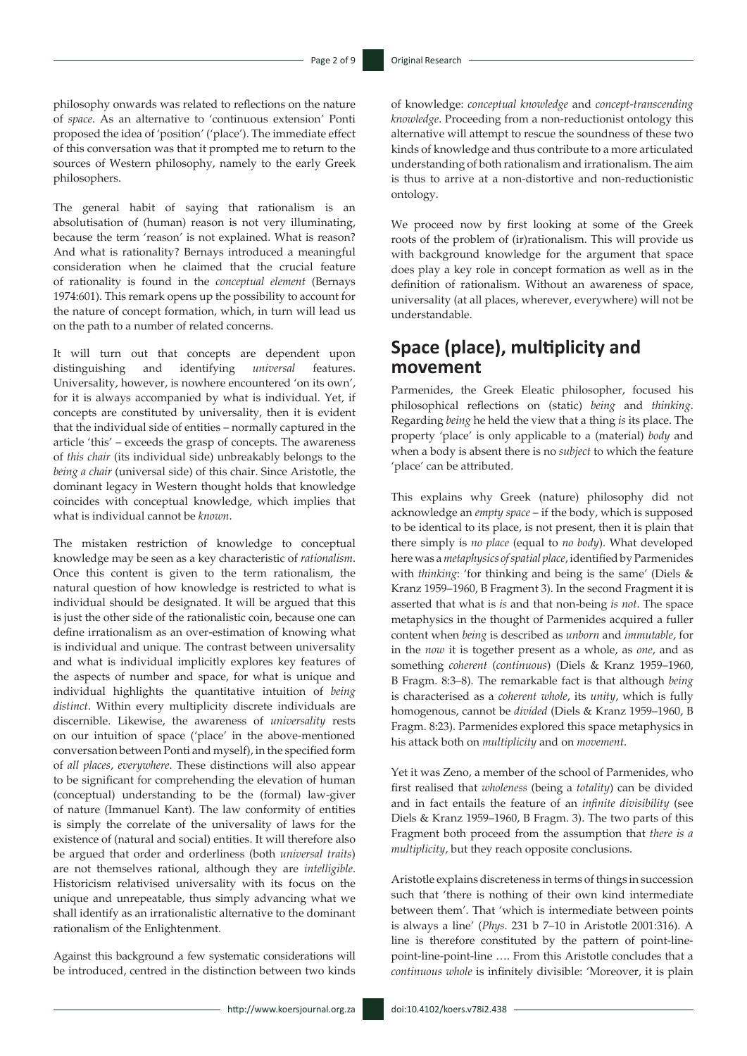philosophy onwards was related to reflections on the nature of *space*. As an alternative to 'continuous extension' Ponti proposed the idea of 'position' ('place'). The immediate effect of this conversation was that it prompted me to return to the sources of Western philosophy, namely to the early Greek philosophers.

The general habit of saying that rationalism is an absolutisation of (human) reason is not very illuminating, because the term 'reason' is not explained. What is reason? And what is rationality? Bernays introduced a meaningful consideration when he claimed that the crucial feature of rationality is found in the *conceptual element* (Bernays 1974:601). This remark opens up the possibility to account for the nature of concept formation, which, in turn will lead us on the path to a number of related concerns.

It will turn out that concepts are dependent upon distinguishing and identifying *universal* features. Universality, however, is nowhere encountered 'on its own', for it is always accompanied by what is individual. Yet, if concepts are constituted by universality, then it is evident that the individual side of entities – normally captured in the article 'this' – exceeds the grasp of concepts. The awareness of *this chair* (its individual side) unbreakably belongs to the *being a chair* (universal side) of this chair. Since Aristotle, the dominant legacy in Western thought holds that knowledge coincides with conceptual knowledge, which implies that what is individual cannot be *known*.

The mistaken restriction of knowledge to conceptual knowledge may be seen as a key characteristic of *rationalism*. Once this content is given to the term rationalism, the natural question of how knowledge is restricted to what is individual should be designated. It will be argued that this is just the other side of the rationalistic coin, because one can define irrationalism as an over-estimation of knowing what is individual and unique. The contrast between universality and what is individual implicitly explores key features of the aspects of number and space, for what is unique and individual highlights the quantitative intuition of *being distinct*. Within every multiplicity discrete individuals are discernible. Likewise, the awareness of *universality* rests on our intuition of space ('place' in the above-mentioned conversation between Ponti and myself), in the specified form of *all places*, *everywhere*. These distinctions will also appear to be significant for comprehending the elevation of human (conceptual) understanding to be the (formal) law-giver of nature (Immanuel Kant). The law conformity of entities is simply the correlate of the universality of laws for the existence of (natural and social) entities. It will therefore also be argued that order and orderliness (both *universal traits*) are not themselves rational, although they are *intelligible*. Historicism relativised universality with its focus on the unique and unrepeatable, thus simply advancing what we shall identify as an irrationalistic alternative to the dominant rationalism of the Enlightenment.

Against this background a few systematic considerations will be introduced, centred in the distinction between two kinds of knowledge: *conceptual knowledge* and *concept-transcending knowledge*. Proceeding from a non-reductionist ontology this alternative will attempt to rescue the soundness of these two kinds of knowledge and thus contribute to a more articulated understanding of both rationalism and irrationalism. The aim is thus to arrive at a non-distortive and non-reductionistic ontology.

We proceed now by first looking at some of the Greek roots of the problem of (ir)rationalism. This will provide us with background knowledge for the argument that space does play a key role in concept formation as well as in the definition of rationalism. Without an awareness of space, universality (at all places, wherever, everywhere) will not be understandable.

### **Space (place), multiplicity and movement**

Parmenides, the Greek Eleatic philosopher, focused his philosophical reflections on (static) *being* and *thinking*. Regarding *being* he held the view that a thing *is* its place. The property 'place' is only applicable to a (material) *body* and when a body is absent there is no *subject* to which the feature 'place' can be attributed.

This explains why Greek (nature) philosophy did not acknowledge an *empty space* – if the body, which is supposed to be identical to its place, is not present, then it is plain that there simply is *no place* (equal to *no body*). What developed here was a *metaphysics of spatial place*, identified by Parmenides with *thinking*: 'for thinking and being is the same' (Diels & Kranz 1959–1960, B Fragment 3). In the second Fragment it is asserted that what is *is* and that non-being *is not*. The space metaphysics in the thought of Parmenides acquired a fuller content when *being* is described as *unborn* and *immutable*, for in the *now* it is together present as a whole, as *one*, and as something *coherent* (*continuous*) (Diels & Kranz 1959–1960, B Fragm. 8:3–8). The remarkable fact is that although *being* is characterised as a *coherent whole*, its *unity*, which is fully homogenous, cannot be *divided* (Diels & Kranz 1959–1960, B Fragm. 8:23). Parmenides explored this space metaphysics in his attack both on *multiplicity* and on *movement*.

Yet it was Zeno, a member of the school of Parmenides, who first realised that *wholeness* (being a *totality*) can be divided and in fact entails the feature of an *infinite divisibility* (see Diels & Kranz 1959–1960, B Fragm. 3). The two parts of this Fragment both proceed from the assumption that *there is a multiplicity*, but they reach opposite conclusions.

Aristotle explains discreteness in terms of things in succession such that 'there is nothing of their own kind intermediate between them'. That 'which is intermediate between points is always a line' (*Phys*. 231 b 7–10 in Aristotle 2001:316). A line is therefore constituted by the pattern of point-linepoint-line-point-line …. From this Aristotle concludes that a *continuous whole* is infinitely divisible: 'Moreover, it is plain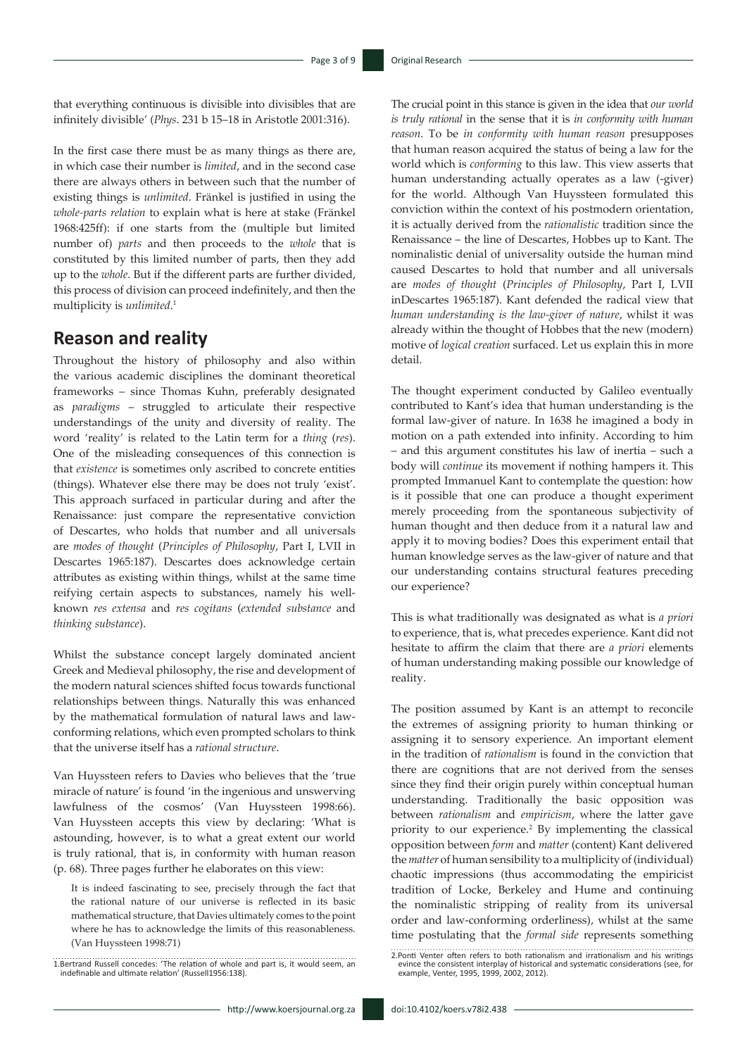that everything continuous is divisible into divisibles that are infinitely divisible' (*Phys*. 231 b 15–18 in Aristotle 2001:316).

In the first case there must be as many things as there are, in which case their number is *limited*, and in the second case there are always others in between such that the number of existing things is *unlimited*. Fränkel is justified in using the *whole-parts relation* to explain what is here at stake (Fränkel 1968:425ff): if one starts from the (multiple but limited number of) *parts* and then proceeds to the *whole* that is constituted by this limited number of parts, then they add up to the *whole*. But if the different parts are further divided, this process of division can proceed indefinitely, and then the multiplicity is *unlimited*. 1

### **Reason and reality**

Throughout the history of philosophy and also within the various academic disciplines the dominant theoretical frameworks – since Thomas Kuhn, preferably designated as *paradigms* – struggled to articulate their respective understandings of the unity and diversity of reality. The word 'reality' is related to the Latin term for a *thing* (*res*). One of the misleading consequences of this connection is that *existence* is sometimes only ascribed to concrete entities (things). Whatever else there may be does not truly 'exist'. This approach surfaced in particular during and after the Renaissance: just compare the representative conviction of Descartes, who holds that number and all universals are *modes of thought* (*Principles of Philosophy*, Part I, LVII in Descartes 1965:187). Descartes does acknowledge certain attributes as existing within things, whilst at the same time reifying certain aspects to substances, namely his wellknown *res extensa* and *res cogitans* (*extended substance* and *thinking substance*).

Whilst the substance concept largely dominated ancient Greek and Medieval philosophy, the rise and development of the modern natural sciences shifted focus towards functional relationships between things. Naturally this was enhanced by the mathematical formulation of natural laws and lawconforming relations, which even prompted scholars to think that the universe itself has a *rational structure*.

Van Huyssteen refers to Davies who believes that the 'true miracle of nature' is found 'in the ingenious and unswerving lawfulness of the cosmos' (Van Huyssteen 1998:66). Van Huyssteen accepts this view by declaring: 'What is astounding, however, is to what a great extent our world is truly rational, that is, in conformity with human reason (p. 68). Three pages further he elaborates on this view:

It is indeed fascinating to see, precisely through the fact that the rational nature of our universe is reflected in its basic mathematical structure, that Davies ultimately comes to the point where he has to acknowledge the limits of this reasonableness. (Van Huyssteen 1998:71)

The crucial point in this stance is given in the idea that *our world is truly rational* in the sense that it is *in conformity with human reason*. To be *in conformity with human reason* presupposes that human reason acquired the status of being a law for the world which is *conforming* to this law. This view asserts that human understanding actually operates as a law (-giver) for the world. Although Van Huyssteen formulated this conviction within the context of his postmodern orientation, it is actually derived from the *rationalistic* tradition since the Renaissance – the line of Descartes, Hobbes up to Kant. The nominalistic denial of universality outside the human mind caused Descartes to hold that number and all universals are *modes of thought* (*Principles of Philosophy*, Part I, LVII inDescartes 1965:187). Kant defended the radical view that *human understanding is the law-giver of nature*, whilst it was already within the thought of Hobbes that the new (modern) motive of *logical creation* surfaced. Let us explain this in more detail.

The thought experiment conducted by Galileo eventually contributed to Kant's idea that human understanding is the formal law-giver of nature. In 1638 he imagined a body in motion on a path extended into infinity. According to him – and this argument constitutes his law of inertia – such a body will *continue* its movement if nothing hampers it. This prompted Immanuel Kant to contemplate the question: how is it possible that one can produce a thought experiment merely proceeding from the spontaneous subjectivity of human thought and then deduce from it a natural law and apply it to moving bodies? Does this experiment entail that human knowledge serves as the law-giver of nature and that our understanding contains structural features preceding our experience?

This is what traditionally was designated as what is *a priori* to experience, that is, what precedes experience. Kant did not hesitate to affirm the claim that there are *a priori* elements of human understanding making possible our knowledge of reality.

The position assumed by Kant is an attempt to reconcile the extremes of assigning priority to human thinking or assigning it to sensory experience. An important element in the tradition of *rationalism* is found in the conviction that there are cognitions that are not derived from the senses since they find their origin purely within conceptual human understanding. Traditionally the basic opposition was between *rationalism* and *empiricism*, where the latter gave priority to our experience.<sup>2</sup> By implementing the classical opposition between *form* and *matter* (content) Kant delivered the *matter* of human sensibility to a multiplicity of (individual) chaotic impressions (thus accommodating the empiricist tradition of Locke, Berkeley and Hume and continuing the nominalistic stripping of reality from its universal order and law-conforming orderliness), whilst at the same time postulating that the *formal side* represents something

<sup>1.</sup>Bertrand Russell concedes: 'The relation of whole and part is, it would seem, an indefinable and ultimate relation' (Russell1956:138).

<sup>2.</sup>Ponti Venter often refers to both rationalism and irrationalism and his writings evince the consistent interplay of historical and systematic considerations (see, for example, Venter, 1995, 1999, 2002, 2012).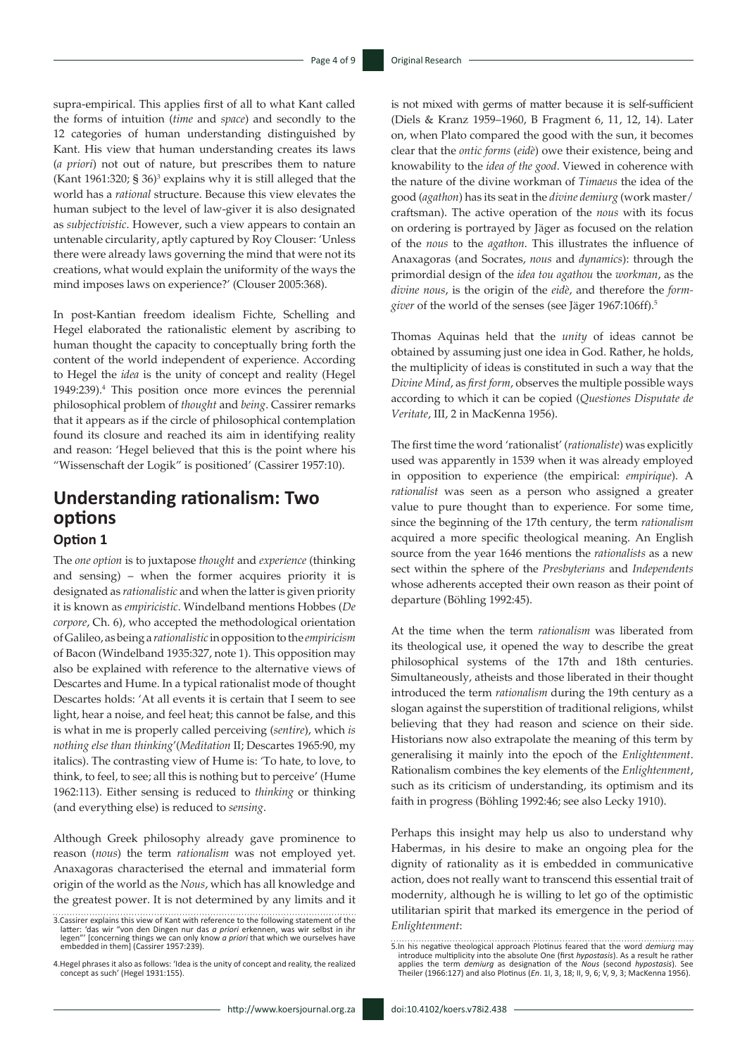supra-empirical. This applies first of all to what Kant called the forms of intuition (*time* and *space*) and secondly to the 12 categories of human understanding distinguished by Kant. His view that human understanding creates its laws (*a priori*) not out of nature, but prescribes them to nature (Kant 1961:320;  $\S 36$ )<sup>3</sup> explains why it is still alleged that the world has a *rational* structure. Because this view elevates the human subject to the level of law-giver it is also designated as *subjectivistic*. However, such a view appears to contain an untenable circularity, aptly captured by Roy Clouser: 'Unless there were already laws governing the mind that were not its creations, what would explain the uniformity of the ways the mind imposes laws on experience?' (Clouser 2005:368).

In post-Kantian freedom idealism Fichte, Schelling and Hegel elaborated the rationalistic element by ascribing to human thought the capacity to conceptually bring forth the content of the world independent of experience. According to Hegel the *idea* is the unity of concept and reality (Hegel 1949:239).4 This position once more evinces the perennial philosophical problem of *thought* and *being*. Cassirer remarks that it appears as if the circle of philosophical contemplation found its closure and reached its aim in identifying reality and reason: 'Hegel believed that this is the point where his "Wissenschaft der Logik" is positioned' (Cassirer 1957:10).

## **Understanding rationalism: Two options**

#### **Option 1**

The *one option* is to juxtapose *thought* and *experience* (thinking and sensing) – when the former acquires priority it is designated as *rationalistic* and when the latter is given priority it is known as *empiricistic*. Windelband mentions Hobbes (*De corpore*, Ch. 6), who accepted the methodological orientation of Galileo, as being a *rationalistic* in opposition to the *empiricism* of Bacon (Windelband 1935:327, note 1). This opposition may also be explained with reference to the alternative views of Descartes and Hume. In a typical rationalist mode of thought Descartes holds: 'At all events it is certain that I seem to see light, hear a noise, and feel heat; this cannot be false, and this is what in me is properly called perceiving (*sentire*), which *is nothing else than thinking*'(*Meditation* II; Descartes 1965:90, my italics). The contrasting view of Hume is: 'To hate, to love, to think, to feel, to see; all this is nothing but to perceive' (Hume 1962:113). Either sensing is reduced to *thinking* or thinking (and everything else) is reduced to *sensing*.

Although Greek philosophy already gave prominence to reason (*nous*) the term *rationalism* was not employed yet. Anaxagoras characterised the eternal and immaterial form origin of the world as the *Nous*, which has all knowledge and the greatest power. It is not determined by any limits and it is not mixed with germs of matter because it is self-sufficient (Diels & Kranz 1959–1960, B Fragment 6, 11, 12, 14). Later on, when Plato compared the good with the sun, it becomes clear that the *ontic forms* (*eidè*) owe their existence, being and knowability to the *idea of the good*. Viewed in coherence with the nature of the divine workman of *Timaeus* the idea of the good (*agathon*) has its seat in the *divine demiurg* (work master/ craftsman). The active operation of the *nous* with its focus on ordering is portrayed by Jäger as focused on the relation of the *nous* to the *agathon*. This illustrates the influence of Anaxagoras (and Socrates, *nous* and *dynamics*): through the primordial design of the *idea tou agathou* the *workman*, as the *divine nous*, is the origin of the *eidè*, and therefore the *formgiver* of the world of the senses (see Jäger 1967:106ff).5

Thomas Aquinas held that the *unity* of ideas cannot be obtained by assuming just one idea in God. Rather, he holds, the multiplicity of ideas is constituted in such a way that the *Divine Mind*, as *first form*, observes the multiple possible ways according to which it can be copied (*Questiones Disputate de Veritate*, III, 2 in MacKenna 1956).

The first time the word 'rationalist' (*rationaliste*) was explicitly used was apparently in 1539 when it was already employed in opposition to experience (the empirical: *empirique*). A *rationalist* was seen as a person who assigned a greater value to pure thought than to experience. For some time, since the beginning of the 17th century, the term *rationalism* acquired a more specific theological meaning. An English source from the year 1646 mentions the *rationalists* as a new sect within the sphere of the *Presbyterians* and *Independents* whose adherents accepted their own reason as their point of departure (Böhling 1992:45).

At the time when the term *rationalism* was liberated from its theological use, it opened the way to describe the great philosophical systems of the 17th and 18th centuries. Simultaneously, atheists and those liberated in their thought introduced the term *rationalism* during the 19th century as a slogan against the superstition of traditional religions, whilst believing that they had reason and science on their side. Historians now also extrapolate the meaning of this term by generalising it mainly into the epoch of the *Enlightenment*. Rationalism combines the key elements of the *Enlightenment*, such as its criticism of understanding, its optimism and its faith in progress (Böhling 1992:46; see also Lecky 1910).

Perhaps this insight may help us also to understand why Habermas, in his desire to make an ongoing plea for the dignity of rationality as it is embedded in communicative action, does not really want to transcend this essential trait of modernity, although he is willing to let go of the optimistic utilitarian spirit that marked its emergence in the period of *Enlightenment*:

<sup>3.</sup> Cassirer explains this view of Kant with reference to the following statement of the latter: 'das wir "von den Dingen nur das a priori erkennen, was wir selbst in ihr legen" [concerning things we can only know a priori

<sup>4.</sup>Hegel phrases it also as follows: 'Idea is the unity of concept and reality, the realized concept as such' (Hegel 1931:155).

<sup>5.</sup>In his negative theological approach Plotinus feared that the word *demiurg* may introduce multiplicity into the absolute One (first *hypostosis*). As a result he rather applies the term *demiurg* as designation of the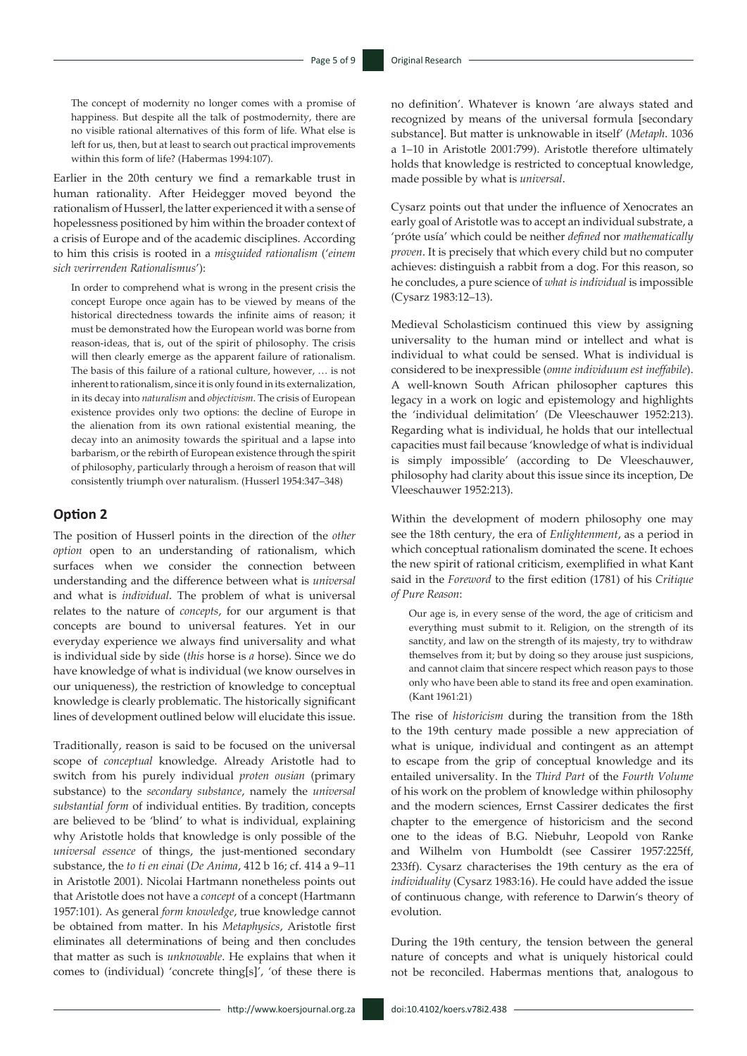The concept of modernity no longer comes with a promise of happiness. But despite all the talk of postmodernity, there are no visible rational alternatives of this form of life. What else is left for us, then, but at least to search out practical improvements within this form of life? (Habermas 1994:107).

Earlier in the 20th century we find a remarkable trust in human rationality. After Heidegger moved beyond the rationalism of Husserl, the latter experienced it with a sense of hopelessness positioned by him within the broader context of a crisis of Europe and of the academic disciplines. According to him this crisis is rooted in a *misguided rationalism* ('*einem sich verirrenden Rationalismus*'):

In order to comprehend what is wrong in the present crisis the concept Europe once again has to be viewed by means of the historical directedness towards the infinite aims of reason; it must be demonstrated how the European world was borne from reason-ideas, that is, out of the spirit of philosophy. The crisis will then clearly emerge as the apparent failure of rationalism. The basis of this failure of a rational culture, however, … is not inherent to rationalism, since it is only found in its externalization, in its decay into *naturalism* and *objectivism*. The crisis of European existence provides only two options: the decline of Europe in the alienation from its own rational existential meaning, the decay into an animosity towards the spiritual and a lapse into barbarism, or the rebirth of European existence through the spirit of philosophy, particularly through a heroism of reason that will consistently triumph over naturalism. (Husserl 1954:347–348)

#### **Option 2**

The position of Husserl points in the direction of the *other option* open to an understanding of rationalism, which surfaces when we consider the connection between understanding and the difference between what is *universal* and what is *individual*. The problem of what is universal relates to the nature of *concepts*, for our argument is that concepts are bound to universal features. Yet in our everyday experience we always find universality and what is individual side by side (*this* horse is *a* horse). Since we do have knowledge of what is individual (we know ourselves in our uniqueness), the restriction of knowledge to conceptual knowledge is clearly problematic. The historically significant lines of development outlined below will elucidate this issue.

Traditionally, reason is said to be focused on the universal scope of *conceptual* knowledge. Already Aristotle had to switch from his purely individual *proten ousian* (primary substance) to the *secondary substance*, namely the *universal substantial form* of individual entities. By tradition, concepts are believed to be 'blind' to what is individual, explaining why Aristotle holds that knowledge is only possible of the *universal essence* of things, the just-mentioned secondary substance, the *to ti en einai* (*De Anima*, 412 b 16; cf. 414 a 9–11 in Aristotle 2001). Nicolai Hartmann nonetheless points out that Aristotle does not have a *concept* of a concept (Hartmann 1957:101). As general *form knowledge*, true knowledge cannot be obtained from matter. In his *Metaphysics*, Aristotle first eliminates all determinations of being and then concludes that matter as such is *unknowable*. He explains that when it comes to (individual) 'concrete thing[s]', 'of these there is

no definition'. Whatever is known 'are always stated and recognized by means of the universal formula [secondary substance]. But matter is unknowable in itself' (*Metaph*. 1036 a 1–10 in Aristotle 2001:799). Aristotle therefore ultimately holds that knowledge is restricted to conceptual knowledge, made possible by what is *universal*.

Cysarz points out that under the influence of Xenocrates an early goal of Aristotle was to accept an individual substrate, a 'próte usía' which could be neither *defined* nor *mathematically proven*. It is precisely that which every child but no computer achieves: distinguish a rabbit from a dog. For this reason, so he concludes, a pure science of *what is individual* is impossible (Cysarz 1983:12–13).

Medieval Scholasticism continued this view by assigning universality to the human mind or intellect and what is individual to what could be sensed. What is individual is considered to be inexpressible (*omne individuum est ineffabile*). A well-known South African philosopher captures this legacy in a work on logic and epistemology and highlights the 'individual delimitation' (De Vleeschauwer 1952:213). Regarding what is individual, he holds that our intellectual capacities must fail because 'knowledge of what is individual is simply impossible' (according to De Vleeschauwer, philosophy had clarity about this issue since its inception, De Vleeschauwer 1952:213).

Within the development of modern philosophy one may see the 18th century, the era of *Enlightenment*, as a period in which conceptual rationalism dominated the scene. It echoes the new spirit of rational criticism, exemplified in what Kant said in the *Foreword* to the first edition (1781) of his *Critique of Pure Reason*:

Our age is, in every sense of the word, the age of criticism and everything must submit to it. Religion, on the strength of its sanctity, and law on the strength of its majesty, try to withdraw themselves from it; but by doing so they arouse just suspicions, and cannot claim that sincere respect which reason pays to those only who have been able to stand its free and open examination. (Kant 1961:21)

The rise of *historicism* during the transition from the 18th to the 19th century made possible a new appreciation of what is unique, individual and contingent as an attempt to escape from the grip of conceptual knowledge and its entailed universality. In the *Third Part* of the *Fourth Volume* of his work on the problem of knowledge within philosophy and the modern sciences, Ernst Cassirer dedicates the first chapter to the emergence of historicism and the second one to the ideas of B.G. Niebuhr, Leopold von Ranke and Wilhelm von Humboldt (see Cassirer 1957:225ff, 233ff). Cysarz characterises the 19th century as the era of *individuality* (Cysarz 1983:16). He could have added the issue of continuous change, with reference to Darwin's theory of evolution.

During the 19th century, the tension between the general nature of concepts and what is uniquely historical could not be reconciled. Habermas mentions that, analogous to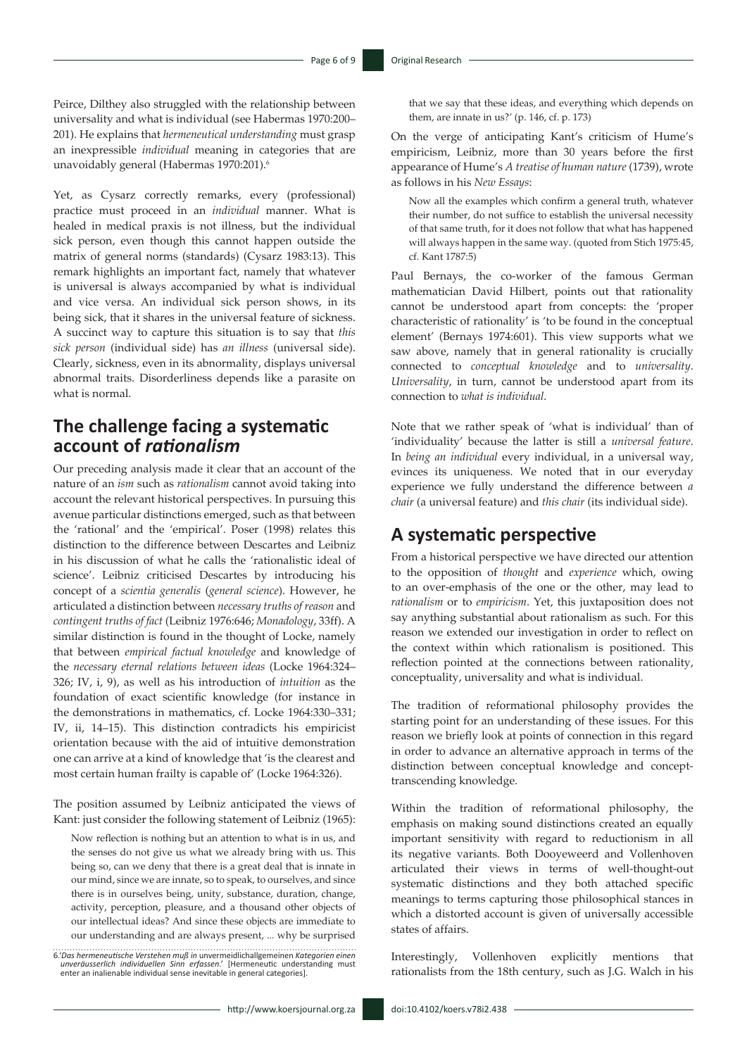Peirce, Dilthey also struggled with the relationship between universality and what is individual (see Habermas 1970:200– 201). He explains that *hermeneutical understanding* must grasp an inexpressible *individual* meaning in categories that are unavoidably general (Habermas 1970:201).<sup>6</sup>

Yet, as Cysarz correctly remarks, every (professional) practice must proceed in an *individual* manner. What is healed in medical praxis is not illness, but the individual sick person, even though this cannot happen outside the matrix of general norms (standards) (Cysarz 1983:13). This remark highlights an important fact, namely that whatever is universal is always accompanied by what is individual and vice versa. An individual sick person shows, in its being sick, that it shares in the universal feature of sickness. A succinct way to capture this situation is to say that *this sick person* (individual side) has *an illness* (universal side). Clearly, sickness, even in its abnormality, displays universal abnormal traits. Disorderliness depends like a parasite on what is normal.

### **The challenge facing a systematic account of** *rationalism*

Our preceding analysis made it clear that an account of the nature of an *ism* such as *rationalism* cannot avoid taking into account the relevant historical perspectives. In pursuing this avenue particular distinctions emerged, such as that between the 'rational' and the 'empirical'. Poser (1998) relates this distinction to the difference between Descartes and Leibniz in his discussion of what he calls the 'rationalistic ideal of science'. Leibniz criticised Descartes by introducing his concept of a *scientia generalis* (*general science*). However, he articulated a distinction between *necessary truths of reason* and *contingent truths of fact* (Leibniz 1976:646; *Monadology*, 33ff). A similar distinction is found in the thought of Locke, namely that between *empirical factual knowledge* and knowledge of the *necessary eternal relations between ideas* (Locke 1964:324– 326; IV, i, 9), as well as his introduction of *intuition* as the foundation of exact scientific knowledge (for instance in the demonstrations in mathematics, cf. Locke 1964:330–331; IV, ii, 14–15). This distinction contradicts his empiricist orientation because with the aid of intuitive demonstration one can arrive at a kind of knowledge that 'is the clearest and most certain human frailty is capable of' (Locke 1964:326).

The position assumed by Leibniz anticipated the views of Kant: just consider the following statement of Leibniz (1965):

Now reflection is nothing but an attention to what is in us, and the senses do not give us what we already bring with us. This being so, can we deny that there is a great deal that is innate in our mind, since we are innate, so to speak, to ourselves, and since there is in ourselves being, unity, substance, duration, change, activity, perception, pleasure, and a thousand other objects of our intellectual ideas? And since these objects are immediate to our understanding and are always present, ... why be surprised

6.'*Das hermeneutische Verstehen muß in* unvermeidlichallgemeinen *Kategorien einen unveräusserlich individuellen Sinn erfassen*.' [Hermeneutic understanding must enter an inalienable individual sense inevitable in general categories]. that we say that these ideas, and everything which depends on them, are innate in us?' (p. 146, cf. p. 173)

On the verge of anticipating Kant's criticism of Hume's empiricism, Leibniz, more than 30 years before the first appearance of Hume's *A treatise of human nature* (1739), wrote as follows in his *New Essays*:

Now all the examples which confirm a general truth, whatever their number, do not suffice to establish the universal necessity of that same truth, for it does not follow that what has happened will always happen in the same way. (quoted from Stich 1975:45, cf. Kant 1787:5)

Paul Bernays, the co-worker of the famous German mathematician David Hilbert, points out that rationality cannot be understood apart from concepts: the 'proper characteristic of rationality' is 'to be found in the conceptual element' (Bernays 1974:601). This view supports what we saw above, namely that in general rationality is crucially connected to *conceptual knowledge* and to *universality*. *Universality*, in turn, cannot be understood apart from its connection to *what is individual*.

Note that we rather speak of 'what is individual' than of 'individuality' because the latter is still a *universal feature*. In *being an individual* every individual, in a universal way, evinces its uniqueness. We noted that in our everyday experience we fully understand the difference between *a chair* (a universal feature) and *this chair* (its individual side).

### **A systematic perspective**

From a historical perspective we have directed our attention to the opposition of *thought* and *experience* which, owing to an over-emphasis of the one or the other, may lead to *rationalism* or to *empiricism*. Yet, this juxtaposition does not say anything substantial about rationalism as such. For this reason we extended our investigation in order to reflect on the context within which rationalism is positioned. This reflection pointed at the connections between rationality, conceptuality, universality and what is individual.

The tradition of reformational philosophy provides the starting point for an understanding of these issues. For this reason we briefly look at points of connection in this regard in order to advance an alternative approach in terms of the distinction between conceptual knowledge and concepttranscending knowledge.

Within the tradition of reformational philosophy, the emphasis on making sound distinctions created an equally important sensitivity with regard to reductionism in all its negative variants. Both Dooyeweerd and Vollenhoven articulated their views in terms of well-thought-out systematic distinctions and they both attached specific meanings to terms capturing those philosophical stances in which a distorted account is given of universally accessible states of affairs.

Interestingly, Vollenhoven explicitly mentions that rationalists from the 18th century, such as J.G. Walch in his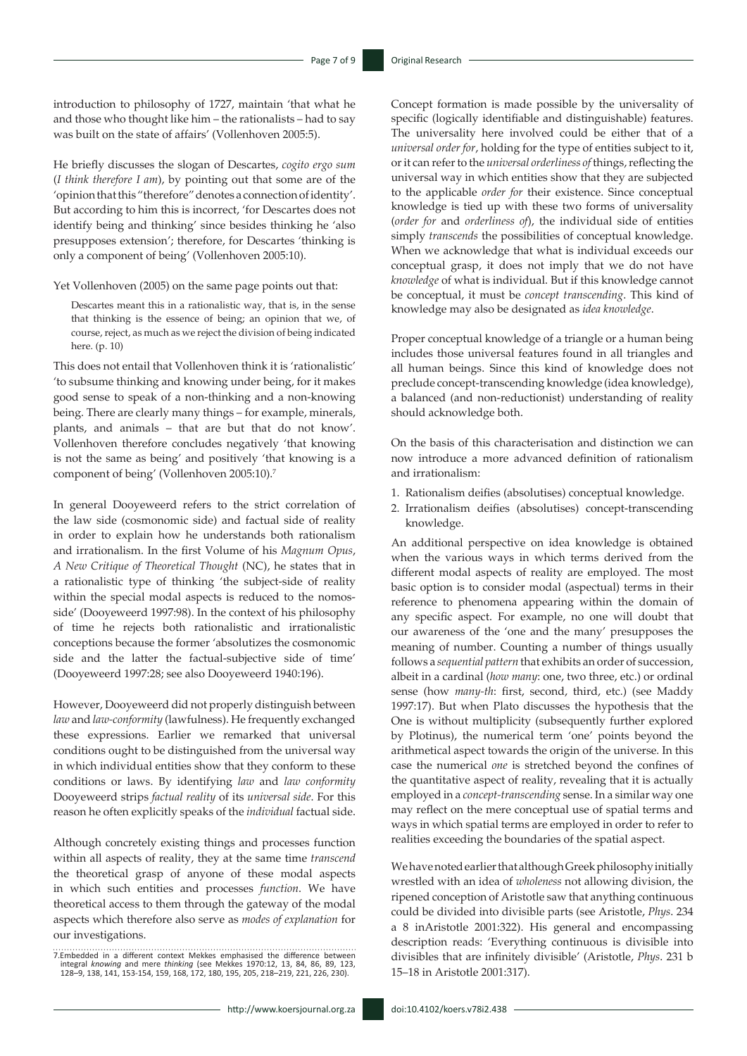introduction to philosophy of 1727, maintain 'that what he and those who thought like him – the rationalists – had to say was built on the state of affairs' (Vollenhoven 2005:5).

He briefly discusses the slogan of Descartes, *cogito ergo sum* (*I think therefore I am*), by pointing out that some are of the 'opinion that this "therefore" denotes a connection of identity'. But according to him this is incorrect, 'for Descartes does not identify being and thinking' since besides thinking he 'also presupposes extension'; therefore, for Descartes 'thinking is only a component of being' (Vollenhoven 2005:10).

Yet Vollenhoven (2005) on the same page points out that:

Descartes meant this in a rationalistic way, that is, in the sense that thinking is the essence of being; an opinion that we, of course, reject, as much as we reject the division of being indicated here. (p. 10)

This does not entail that Vollenhoven think it is 'rationalistic' 'to subsume thinking and knowing under being, for it makes good sense to speak of a non-thinking and a non-knowing being. There are clearly many things – for example, minerals, plants, and animals – that are but that do not know'. Vollenhoven therefore concludes negatively 'that knowing is not the same as being' and positively 'that knowing is a component of being' (Vollenhoven 2005:10).7

In general Dooyeweerd refers to the strict correlation of the law side (cosmonomic side) and factual side of reality in order to explain how he understands both rationalism and irrationalism. In the first Volume of his *Magnum Opus*, *A New Critique of Theoretical Thought* (NC), he states that in a rationalistic type of thinking 'the subject-side of reality within the special modal aspects is reduced to the nomosside' (Dooyeweerd 1997:98). In the context of his philosophy of time he rejects both rationalistic and irrationalistic conceptions because the former 'absolutizes the cosmonomic side and the latter the factual-subjective side of time' (Dooyeweerd 1997:28; see also Dooyeweerd 1940:196).

However, Dooyeweerd did not properly distinguish between *law* and *law-conformity* (lawfulness). He frequently exchanged these expressions. Earlier we remarked that universal conditions ought to be distinguished from the universal way in which individual entities show that they conform to these conditions or laws. By identifying *law* and *law conformity* Dooyeweerd strips *factual reality* of its *universal side*. For this reason he often explicitly speaks of the *individual* factual side.

Although concretely existing things and processes function within all aspects of reality, they at the same time *transcend* the theoretical grasp of anyone of these modal aspects in which such entities and processes *function*. We have theoretical access to them through the gateway of the modal aspects which therefore also serve as *modes of explanation* for our investigations.

Concept formation is made possible by the universality of specific (logically identifiable and distinguishable) features. The universality here involved could be either that of a *universal order for*, holding for the type of entities subject to it, or it can refer to the *universal orderliness of* things, reflecting the universal way in which entities show that they are subjected to the applicable *order for* their existence. Since conceptual knowledge is tied up with these two forms of universality (*order for* and *orderliness of*), the individual side of entities simply *transcends* the possibilities of conceptual knowledge. When we acknowledge that what is individual exceeds our conceptual grasp, it does not imply that we do not have *knowledge* of what is individual. But if this knowledge cannot be conceptual, it must be *concept transcending*. This kind of knowledge may also be designated as *idea knowledge*.

Proper conceptual knowledge of a triangle or a human being includes those universal features found in all triangles and all human beings. Since this kind of knowledge does not preclude concept-transcending knowledge (idea knowledge), a balanced (and non-reductionist) understanding of reality should acknowledge both.

On the basis of this characterisation and distinction we can now introduce a more advanced definition of rationalism and irrationalism:

- 1. Rationalism deifies (absolutises) conceptual knowledge.
- 2. Irrationalism deifies (absolutises) concept-transcending knowledge.

An additional perspective on idea knowledge is obtained when the various ways in which terms derived from the different modal aspects of reality are employed. The most basic option is to consider modal (aspectual) terms in their reference to phenomena appearing within the domain of any specific aspect. For example, no one will doubt that our awareness of the 'one and the many' presupposes the meaning of number. Counting a number of things usually follows a *sequential pattern* that exhibits an order of succession, albeit in a cardinal (*how many*: one, two three, etc.) or ordinal sense (how *many-th*: first, second, third, etc.) (see Maddy 1997:17). But when Plato discusses the hypothesis that the One is without multiplicity (subsequently further explored by Plotinus), the numerical term 'one' points beyond the arithmetical aspect towards the origin of the universe. In this case the numerical *one* is stretched beyond the confines of the quantitative aspect of reality, revealing that it is actually employed in a *concept-transcending* sense. In a similar way one may reflect on the mere conceptual use of spatial terms and ways in which spatial terms are employed in order to refer to realities exceeding the boundaries of the spatial aspect.

We have noted earlier that although Greek philosophy initially wrestled with an idea of *wholeness* not allowing division, the ripened conception of Aristotle saw that anything continuous could be divided into divisible parts (see Aristotle, *Phys*. 234 a 8 inAristotle 2001:322). His general and encompassing description reads: 'Everything continuous is divisible into divisibles that are infinitely divisible' (Aristotle, *Phys*. 231 b 15–18 in Aristotle 2001:317).

<sup>7.</sup>Embedded in a different context Mekkes emphasised the difference between<br>integral *knowing* and mere t*hinking* (see Mekkes 1970:12, 13, 84, 86, 89, 123,<br>128–9, 138, 141, 153-154, 159, 168, 172, 180, 195, 205, 218–219, 2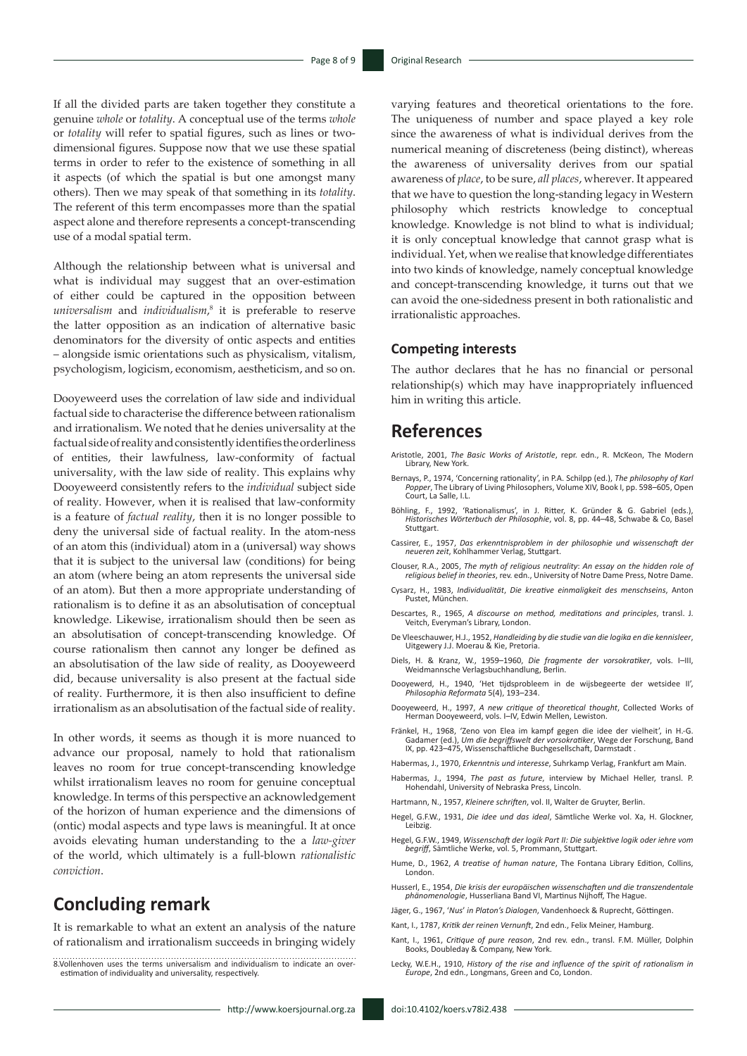If all the divided parts are taken together they constitute a genuine *whole* or *totality*. A conceptual use of the terms *whole* or *totality* will refer to spatial figures, such as lines or twodimensional figures. Suppose now that we use these spatial terms in order to refer to the existence of something in all it aspects (of which the spatial is but one amongst many others). Then we may speak of that something in its *totality*. The referent of this term encompasses more than the spatial aspect alone and therefore represents a concept-transcending use of a modal spatial term.

Although the relationship between what is universal and what is individual may suggest that an over-estimation of either could be captured in the opposition between *universalism* and *individualism*, 8 it is preferable to reserve the latter opposition as an indication of alternative basic denominators for the diversity of ontic aspects and entities – alongside ismic orientations such as physicalism, vitalism, psychologism, logicism, economism, aestheticism, and so on.

Dooyeweerd uses the correlation of law side and individual factual side to characterise the difference between rationalism and irrationalism. We noted that he denies universality at the factual side of reality and consistently identifies the orderliness of entities, their lawfulness, law-conformity of factual universality, with the law side of reality. This explains why Dooyeweerd consistently refers to the *individual* subject side of reality. However, when it is realised that law-conformity is a feature of *factual reality*, then it is no longer possible to deny the universal side of factual reality. In the atom-ness of an atom this (individual) atom in a (universal) way shows that it is subject to the universal law (conditions) for being an atom (where being an atom represents the universal side of an atom). But then a more appropriate understanding of rationalism is to define it as an absolutisation of conceptual knowledge. Likewise, irrationalism should then be seen as an absolutisation of concept-transcending knowledge. Of course rationalism then cannot any longer be defined as an absolutisation of the law side of reality, as Dooyeweerd did, because universality is also present at the factual side of reality. Furthermore, it is then also insufficient to define irrationalism as an absolutisation of the factual side of reality.

In other words, it seems as though it is more nuanced to advance our proposal, namely to hold that rationalism leaves no room for true concept-transcending knowledge whilst irrationalism leaves no room for genuine conceptual knowledge. In terms of this perspective an acknowledgement of the horizon of human experience and the dimensions of (ontic) modal aspects and type laws is meaningful. It at once avoids elevating human understanding to the a *law-giver* of the world, which ultimately is a full-blown *rationalistic conviction*.

## **Concluding remark**

It is remarkable to what an extent an analysis of the nature of rationalism and irrationalism succeeds in bringing widely

8.Vollenhoven uses the terms universalism and individualism to indicate an overestimation of individuality and universality, respectively.

varying features and theoretical orientations to the fore. The uniqueness of number and space played a key role since the awareness of what is individual derives from the numerical meaning of discreteness (being distinct), whereas the awareness of universality derives from our spatial awareness of *place*, to be sure, *all places*, wherever. It appeared that we have to question the long-standing legacy in Western philosophy which restricts knowledge to conceptual knowledge. Knowledge is not blind to what is individual; it is only conceptual knowledge that cannot grasp what is individual. Yet, when we realise that knowledge differentiates into two kinds of knowledge, namely conceptual knowledge and concept-transcending knowledge, it turns out that we can avoid the one-sidedness present in both rationalistic and irrationalistic approaches.

#### **Competing interests**

The author declares that he has no financial or personal relationship(s) which may have inappropriately influenced him in writing this article.

### **References**

- Aristotle, 2001, *The Basic Works of Aristotle*, repr. edn., R. McKeon, The Modern Library, New York.
- Bernays, P., 1974, 'Concerning rationality', in P.A. Schilpp (ed.), *The philosophy of Karl Popper*, The Library of Living Philosophers, Volume XIV, Book I, pp. 598–605, Open Court, La Salle, I.L.
- Böhling, F., 1992, 'Rationalismus', in J. Ritter, K. Gründer & G. Gabriel (eds.), *Historisches Wörterbuch der Philosophie*, vol. 8, pp. 44–48, Schwabe & Co, Basel Stuttgart.
- Cassirer, E., 1957, *Das erkenntnisproblem in der philosophie und wissenschaft der neueren zeit*, Kohlhammer Verlag, Stuttgart.

Clouser, R.A., 2005, *The myth of religious neutrality*: *An essay on the hidden role of religious belief in theories*, rev. edn., University of Notre Dame Press, Notre Dame.

- Cysarz, H., 1983, *Individualität*, *Die kreative einmaligkeit des menschseins*, Anton Pustet, München.
- Descartes, R., 1965, *A discourse on method, meditations and principles*, transl. J. Veitch, Everyman's Library, London.
- De Vleeschauwer, H.J., 1952, *Handleiding by die studie van die logika en die kennisleer*, Uitgewery J.J. Moerau & Kie, Pretoria.
- Diels, H. & Kranz, W., 1959–1960, *Die fragmente der vorsokratiker*, vols. I–III, Weidmannsche Verlagsbuchhandlung, Berlin.
- Dooyewerd, H., 1940, 'Het tijdsprobleem in de wijsbegeerte der wetsidee II', *Philosophia Reformata* 5(4), 193–234.
- Dooyeweerd, H., 1997, *A new critique of theoretical thought*, Collected Works of Herman Dooyeweerd, vols. I–IV, Edwin Mellen, Lewiston.
- Fränkel, H., 1968, 'Zeno von Elea im kampf gegen die idee der vielheit', in H.-G. Gadamer (ed.), Um die begriffswelt der vorsokratiker, Wege der Forschung, Band<br>IX, pp. 423–475, Wissenschaftliche Buchgesellschaft, Darmstadt .
- Habermas, J., 1970, *Erkenntnis und interesse*, Suhrkamp Verlag, Frankfurt am Main.
- Habermas, J., 1994, *The past as future*, interview by Michael Heller, transl. P. Hohendahl, University of Nebraska Press, Lincoln.
- Hartmann, N., 1957, *Kleinere schriften*, vol. II, Walter de Gruyter, Berlin.
- Hegel, G.F.W., 1931, *Die idee und das ideal*, Sämtliche Werke vol. Xa, H. Glockner, Leibzig.
- Hegel, G.F.W., 1949, *Wissenschaft der logik Part II: Die subjektive logik oder iehre vom begriff*, Sämtliche Werke, vol. 5, Prommann, Stuttgart.

Hume, D., 1962, *A treatise of human nature*, The Fontana Library Edition, Collins, London.

- Husserl, E., 1954, *Die krisis der europäischen wissenschaften und die transzendentale phänomenologie*, Husserliana Band VI, Martinus Nijhoff, The Hague.
- Jäger, G., 1967, '*Nus*' *in Platon's Dialogen*, Vandenhoeck & Ruprecht, Göttingen.
- Kant, I., 1787, *Kritik der reinen Vernunft*, 2nd edn., Felix Meiner, Hamburg.
- Kant, I., 1961, *Critique of pure reason*, 2nd rev. edn., transl. F.M. Müller, Dolphin Books, Doubleday & Company, New York.
- Lecky, W.E.H., 1910, *History of the rise and influence of the spirit of rationalism in Europe*, 2nd edn., Longmans, Green and Co, London.